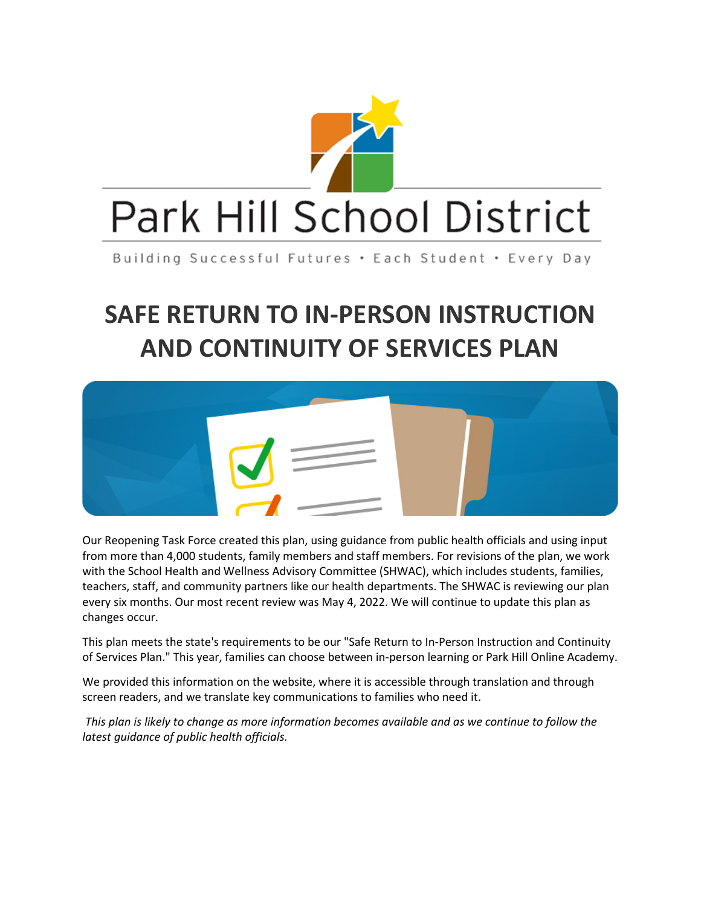

Building Successful Futures . Each Student . Every Day

# **SAFE RETURN TO IN-PERSON INSTRUCTION AND CONTINUITY OF SERVICES PLAN**



Our Reopening Task Force created this plan, using guidance from public health officials and using input from more than 4,000 students, family members and staff members. For revisions of the plan, we work with the School Health and Wellness Advisory Committee (SHWAC), which includes students, families, teachers, staff, and community partners like our health departments. The SHWAC is reviewing our plan every six months. Our most recent review was May 4, 2022. We will continue to update this plan as changes occur.

This plan meets the state's requirements to be our "Safe Return to In-Person Instruction and Continuity of Services Plan." This year, families can choose between in-person learning or Park Hill Online Academy.

We provided this information on the website, where it is accessible through translation and through screen readers, and we translate key communications to families who need it.

*This plan is likely to change as more information becomes available and as we continue to follow the latest guidance of public health officials.*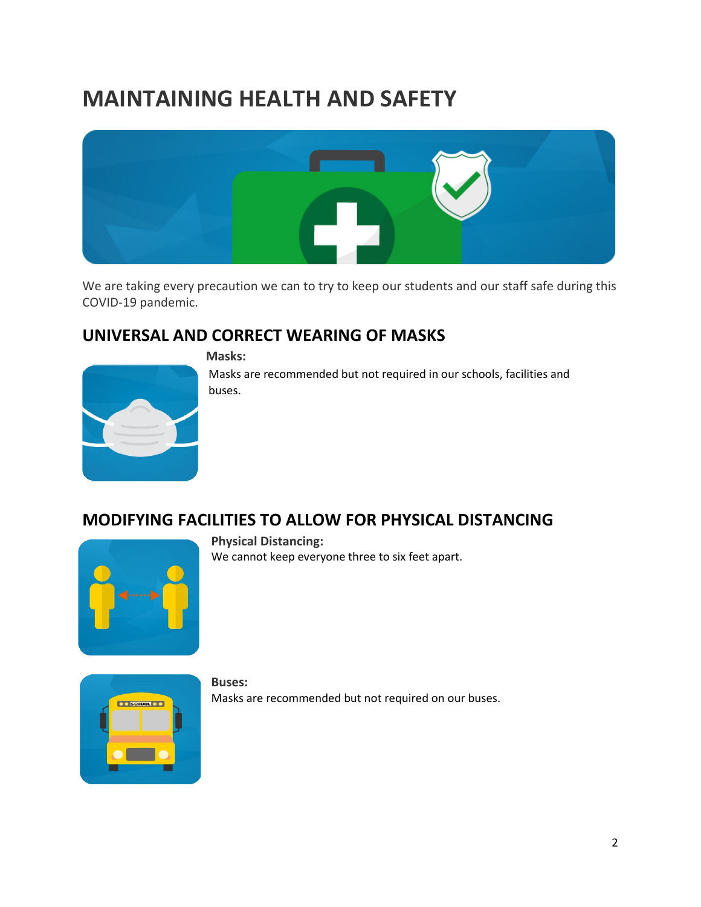# **MAINTAINING HEALTH AND SAFETY**



We are taking every precaution we can to try to keep our students and our staff safe during this COVID-19 pandemic.

### **UNIVERSAL AND CORRECT WEARING OF MASKS**



**Masks:**

Masks are recommended but not required in our schools, facilities and buses.

### **MODIFYING FACILITIES TO ALLOW FOR PHYSICAL DISTANCING**



**Physical Distancing:** We cannot keep everyone three to six feet apart.



**Buses:** Masks are recommended but not required on our buses.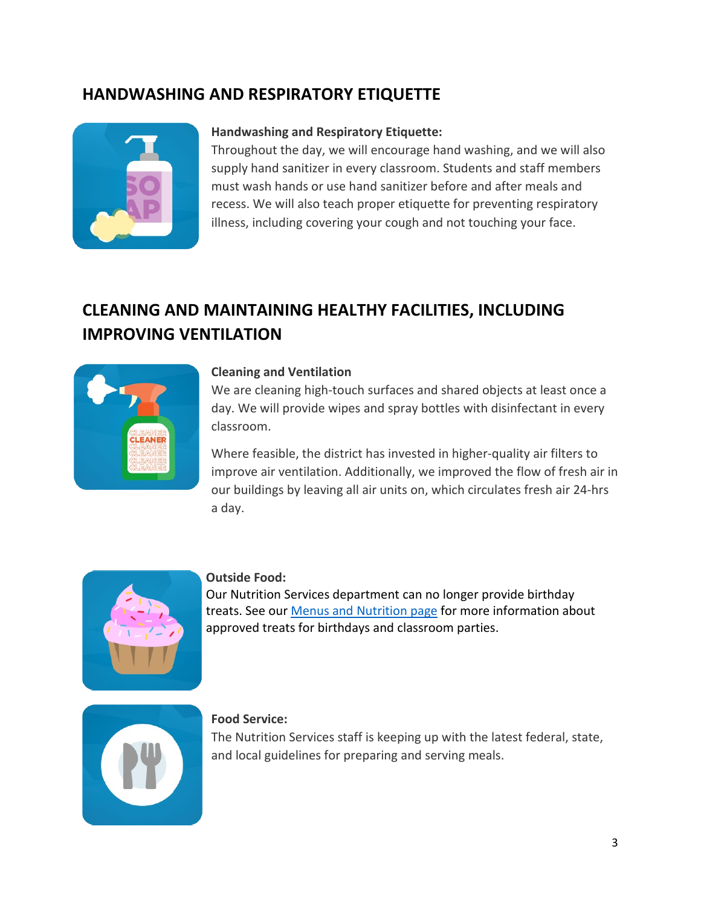### **HANDWASHING AND RESPIRATORY ETIQUETTE**



#### **Handwashing and Respiratory Etiquette:**

Throughout the day, we will encourage hand washing, and we will also supply hand sanitizer in every classroom. Students and staff members must wash hands or use hand sanitizer before and after meals and recess. We will also teach proper etiquette for preventing respiratory illness, including covering your cough and not touching your face.

## **CLEANING AND MAINTAINING HEALTHY FACILITIES, INCLUDING IMPROVING VENTILATION**



#### **Cleaning and Ventilation**

We are cleaning high-touch surfaces and shared objects at least once a day. We will provide wipes and spray bottles with disinfectant in every classroom.

Where feasible, the district has invested in higher-quality air filters to improve air ventilation. Additionally, we improved the flow of fresh air in our buildings by leaving all air units on, which circulates fresh air 24-hrs a day.



#### **Outside Food:**

Our Nutrition Services department can no longer provide birthday treats. See our [Menus and Nutrition page](https://www.parkhill.k12.mo.us/fs/pages/670) for more information about approved treats for birthdays and classroom parties.



#### **Food Service:**

The Nutrition Services staff is keeping up with the latest federal, state, and local guidelines for preparing and serving meals.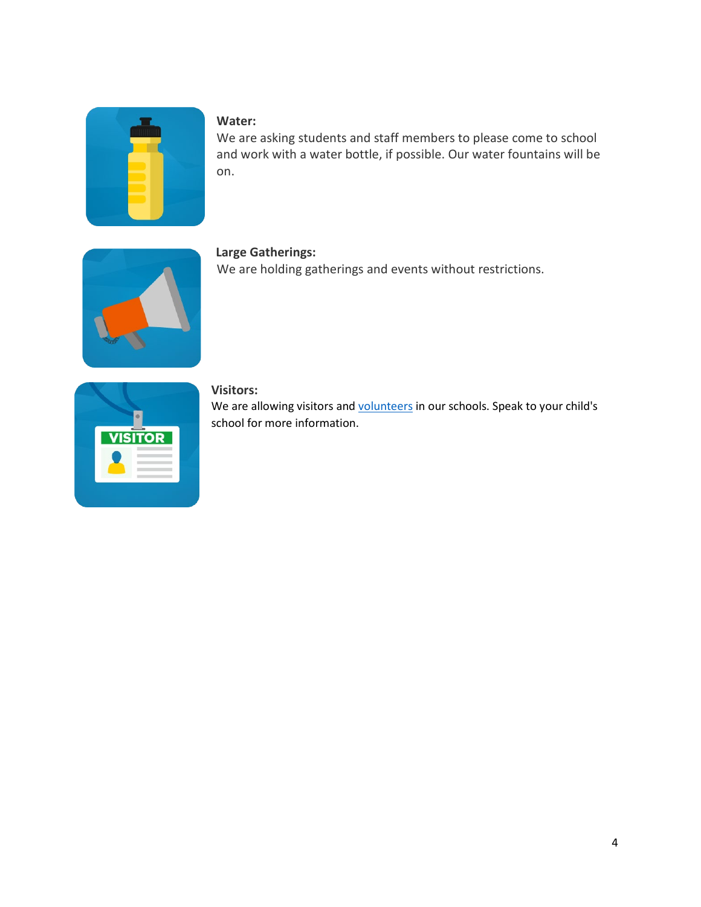#### **Water:**

We are asking students and staff members to please come to school and work with a water bottle, if possible. Our water fountains will be on.



#### **Large Gatherings:**

We are holding gatherings and events without restrictions.

| <b>VISITOR</b> |  |
|----------------|--|
|                |  |

#### **Visitors:**

We are allowing visitors and [volunteers](https://parkhill1.sharepoint.com/fs/pages/455) in our schools. Speak to your child's school for more information.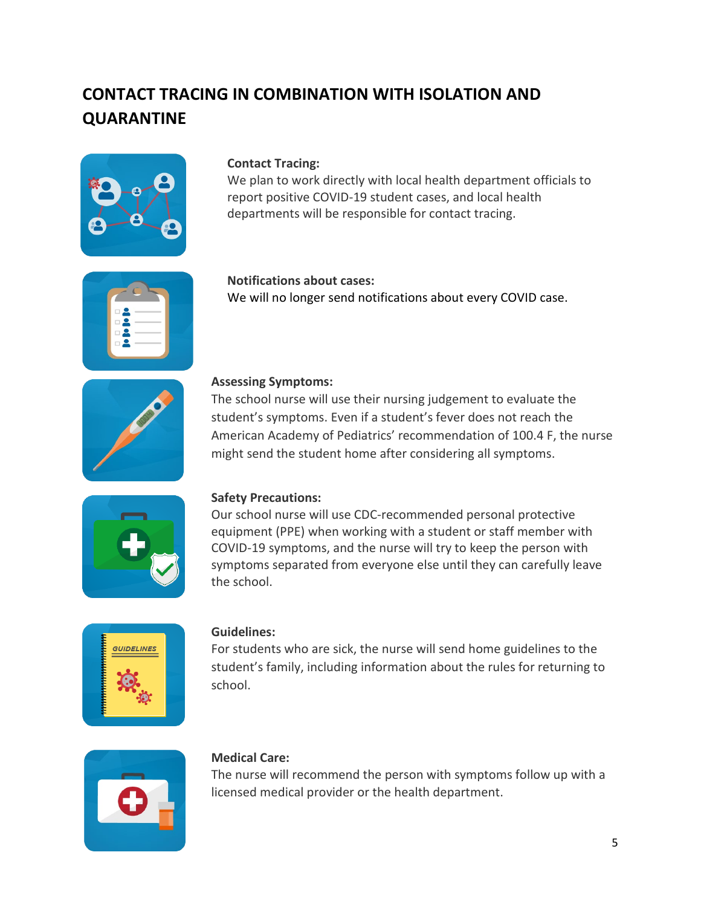# **CONTACT TRACING IN COMBINATION WITH ISOLATION AND QUARANTINE**



#### **Contact Tracing:**

We plan to work directly with local health department officials to report positive COVID-19 student cases, and local health departments will be responsible for contact tracing.

#### **Notifications about cases:** We will no longer send notifications about every COVID case.

## **Assessing Symptoms:**

The school nurse will use their nursing judgement to evaluate the student's symptoms. Even if a student's fever does not reach the American Academy of Pediatrics' recommendation of 100.4 F, the nurse might send the student home after considering all symptoms.



#### **Safety Precautions:**

Our school nurse will use CDC-recommended personal protective equipment (PPE) when working with a student or staff member with COVID-19 symptoms, and the nurse will try to keep the person with symptoms separated from everyone else until they can carefully leave the school.



#### **Guidelines:**

For students who are sick, the nurse will send home guidelines to the student's family, including information about the rules for returning to school.



#### **Medical Care:**

The nurse will recommend the person with symptoms follow up with a licensed medical provider or the health department.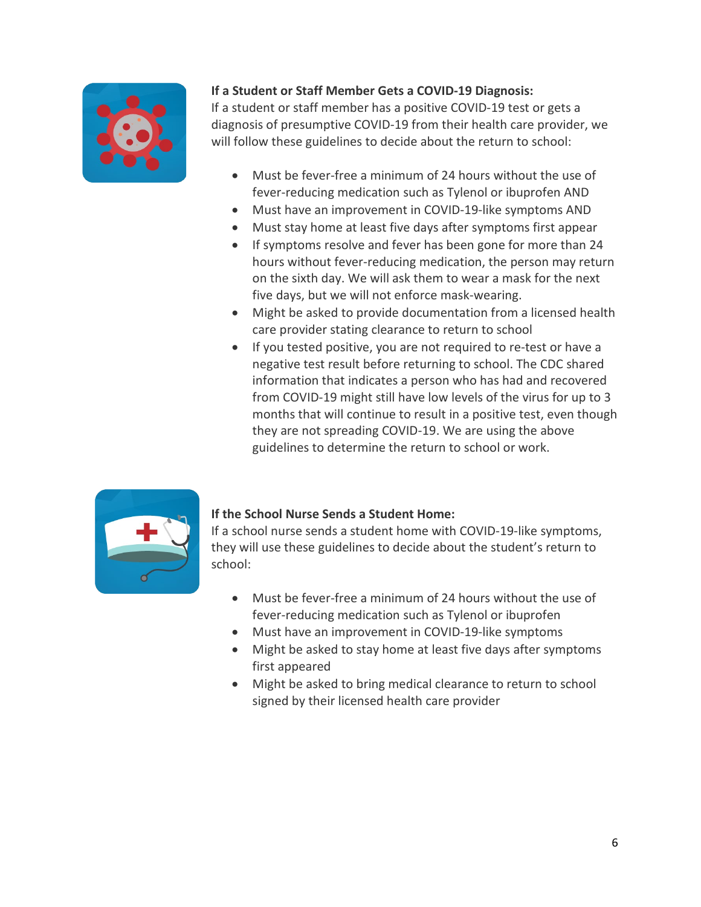

#### **If a Student or Staff Member Gets a COVID-19 Diagnosis:**

If a student or staff member has a positive COVID-19 test or gets a diagnosis of presumptive COVID-19 from their health care provider, we will follow these guidelines to decide about the return to school:

- Must be fever-free a minimum of 24 hours without the use of fever-reducing medication such as Tylenol or ibuprofen AND
- Must have an improvement in COVID-19-like symptoms AND
- Must stay home at least five days after symptoms first appear
- If symptoms resolve and fever has been gone for more than 24 hours without fever-reducing medication, the person may return on the sixth day. We will ask them to wear a mask for the next five days, but we will not enforce mask-wearing.
- Might be asked to provide documentation from a licensed health care provider stating clearance to return to school
- If you tested positive, you are not required to re-test or have a negative test result before returning to school. The CDC shared information that indicates a person who has had and recovered from COVID-19 might still have low levels of the virus for up to 3 months that will continue to result in a positive test, even though they are not spreading COVID-19. We are using the above guidelines to determine the return to school or work.



#### **If the School Nurse Sends a Student Home:**

If a school nurse sends a student home with COVID-19-like symptoms, they will use these guidelines to decide about the student's return to school:

- Must be fever-free a minimum of 24 hours without the use of fever-reducing medication such as Tylenol or ibuprofen
- Must have an improvement in COVID-19-like symptoms
- Might be asked to stay home at least five days after symptoms first appeared
- Might be asked to bring medical clearance to return to school signed by their licensed health care provider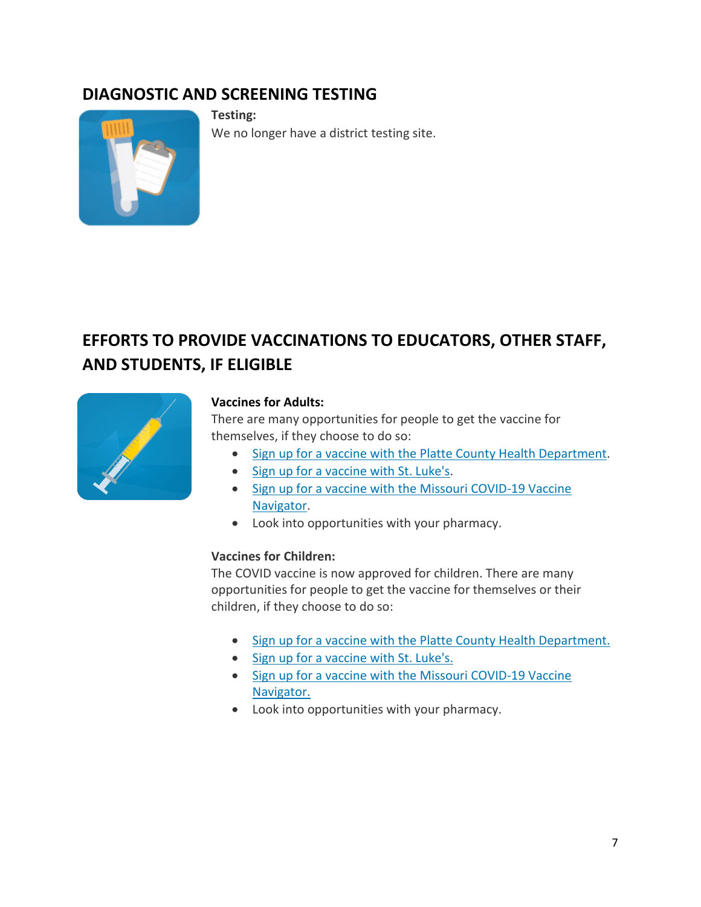## **DIAGNOSTIC AND SCREENING TESTING**



**Testing:** We no longer have a district testing site.

# **EFFORTS TO PROVIDE VACCINATIONS TO EDUCATORS, OTHER STAFF, AND STUDENTS, IF ELIGIBLE**



#### **Vaccines for Adults:**

There are many opportunities for people to get the vaccine for themselves, if they choose to do so:

- [Sign up for a vaccine with the Platte County Health Department.](https://www.plattecountyhealthdept.com/emergency.aspx)
- [Sign up for a vaccine with St. Luke's.](https://www.saintlukeskc.org/covid-19/vaccine)
- [Sign up for a vaccine with the Missouri COVID-19 Vaccine](https://covidvaccine.mo.gov/find/#navigator)  [Navigator.](https://covidvaccine.mo.gov/find/#navigator)
- Look into opportunities with your pharmacy.

#### **Vaccines for Children:**

The COVID vaccine is now approved for children. There are many opportunities for people to get the vaccine for themselves or their children, if they choose to do so:

- [Sign up for a vaccine with the Platte County Health Department.](https://www.plattecountyhealthdept.com/emergency.aspx)
- [Sign up for a vaccine with St. Luke's.](https://www.saintlukeskc.org/covid-19/vaccine)
- [Sign up for a vaccine with the Missouri COVID-19 Vaccine](https://covidvaccine.mo.gov/find/#navigator)  [Navigator.](https://covidvaccine.mo.gov/find/#navigator)
- Look into opportunities with your pharmacy.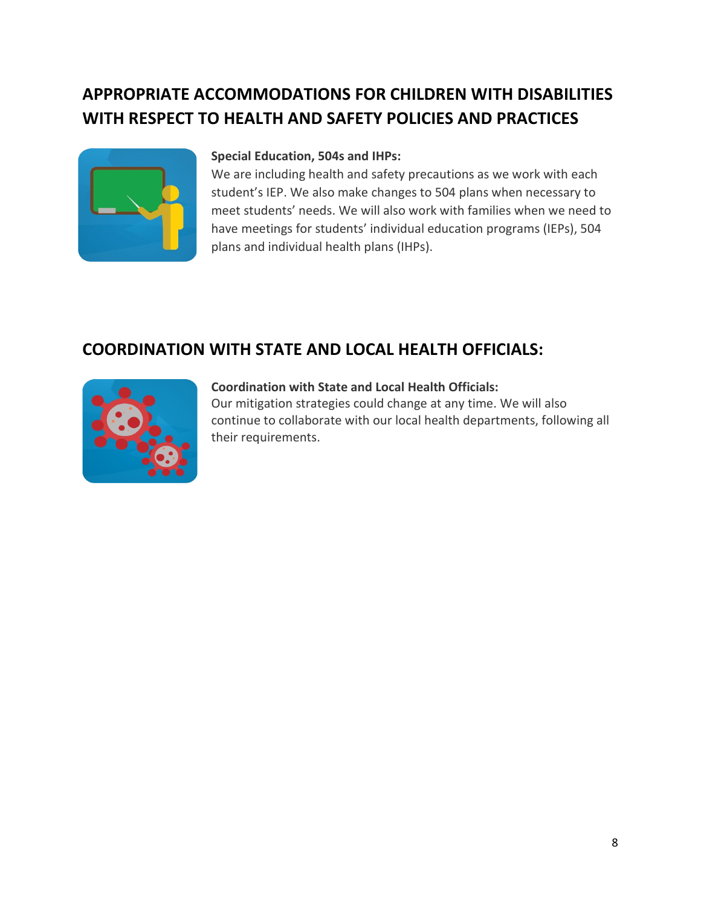# **APPROPRIATE ACCOMMODATIONS FOR CHILDREN WITH DISABILITIES WITH RESPECT TO HEALTH AND SAFETY POLICIES AND PRACTICES**



#### **Special Education, 504s and IHPs:**

We are including health and safety precautions as we work with each student's IEP. We also make changes to 504 plans when necessary to meet students' needs. We will also work with families when we need to have meetings for students' individual education programs (IEPs), 504 plans and individual health plans (IHPs).

## **COORDINATION WITH STATE AND LOCAL HEALTH OFFICIALS:**



#### **Coordination with State and Local Health Officials:**

Our mitigation strategies could change at any time. We will also continue to collaborate with our local health departments, following all their requirements.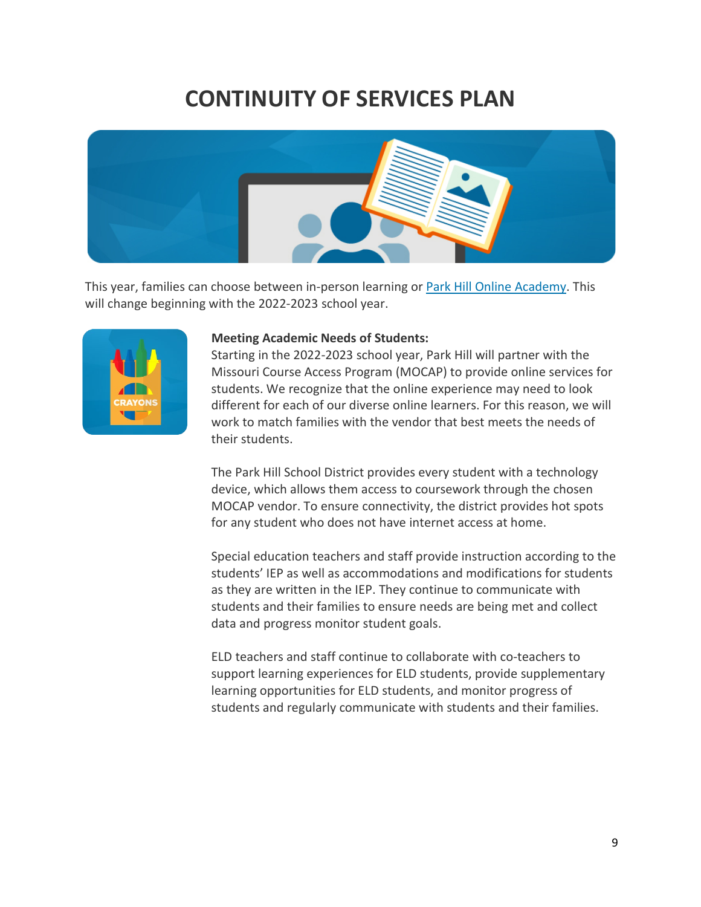# **CONTINUITY OF SERVICES PLAN**



This year, families can choose between in-person learning or [Park Hill Online Academy.](https://www.parkhill.k12.mo.us/teaching_and_learning/online_learning) This will change beginning with the 2022-2023 school year.



#### **Meeting Academic Needs of Students:**

Starting in the 2022-2023 school year, Park Hill will partner with the Missouri Course Access Program (MOCAP) to provide online services for students. We recognize that the online experience may need to look different for each of our diverse online learners. For this reason, we will work to match families with the vendor that best meets the needs of their students.

The Park Hill School District provides every student with a technology device, which allows them access to coursework through the chosen MOCAP vendor. To ensure connectivity, the district provides hot spots for any student who does not have internet access at home.

Special education teachers and staff provide instruction according to the students' IEP as well as accommodations and modifications for students as they are written in the IEP. They continue to communicate with students and their families to ensure needs are being met and collect data and progress monitor student goals.

ELD teachers and staff continue to collaborate with co-teachers to support learning experiences for ELD students, provide supplementary learning opportunities for ELD students, and monitor progress of students and regularly communicate with students and their families.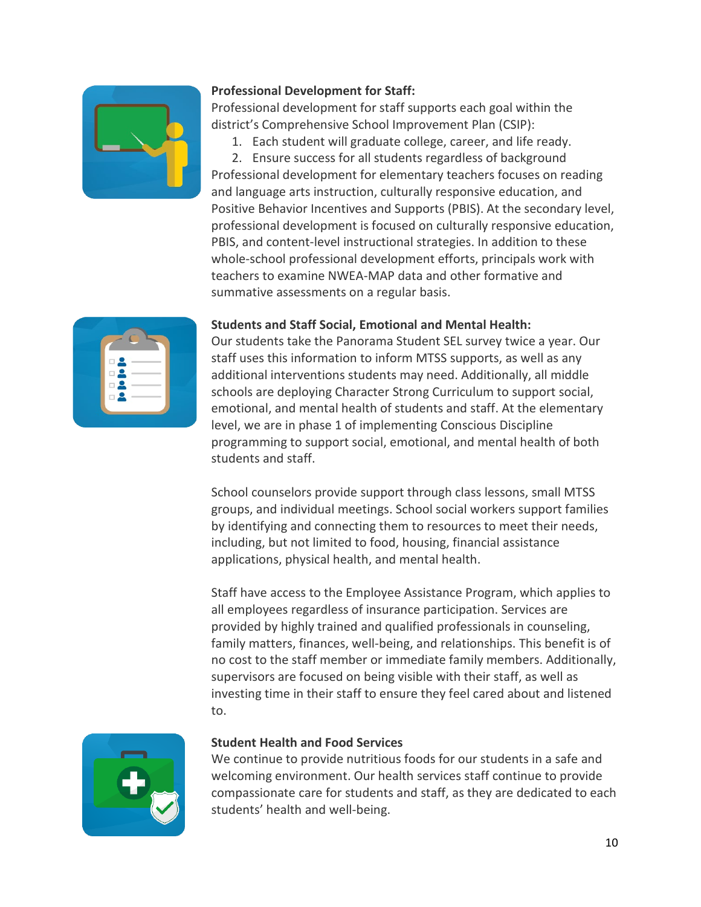

#### **Professional Development for Staff:**

Professional development for staff supports each goal within the district's Comprehensive School Improvement Plan (CSIP):

1. Each student will graduate college, career, and life ready.

2. Ensure success for all students regardless of background Professional development for elementary teachers focuses on reading and language arts instruction, culturally responsive education, and Positive Behavior Incentives and Supports (PBIS). At the secondary level, professional development is focused on culturally responsive education, PBIS, and content-level instructional strategies. In addition to these whole-school professional development efforts, principals work with teachers to examine NWEA-MAP data and other formative and summative assessments on a regular basis.

#### **Students and Staff Social, Emotional and Mental Health:**

Our students take the Panorama Student SEL survey twice a year. Our staff uses this information to inform MTSS supports, as well as any additional interventions students may need. Additionally, all middle schools are deploying Character Strong Curriculum to support social, emotional, and mental health of students and staff. At the elementary level, we are in phase 1 of implementing Conscious Discipline programming to support social, emotional, and mental health of both students and staff.

School counselors provide support through class lessons, small MTSS groups, and individual meetings. School social workers support families by identifying and connecting them to resources to meet their needs, including, but not limited to food, housing, financial assistance applications, physical health, and mental health.

Staff have access to the Employee Assistance Program, which applies to all employees regardless of insurance participation. Services are provided by highly trained and qualified professionals in counseling, family matters, finances, well-being, and relationships. This benefit is of no cost to the staff member or immediate family members. Additionally, supervisors are focused on being visible with their staff, as well as investing time in their staff to ensure they feel cared about and listened to.



#### **Student Health and Food Services**

We continue to provide nutritious foods for our students in a safe and welcoming environment. Our health services staff continue to provide compassionate care for students and staff, as they are dedicated to each students' health and well-being.